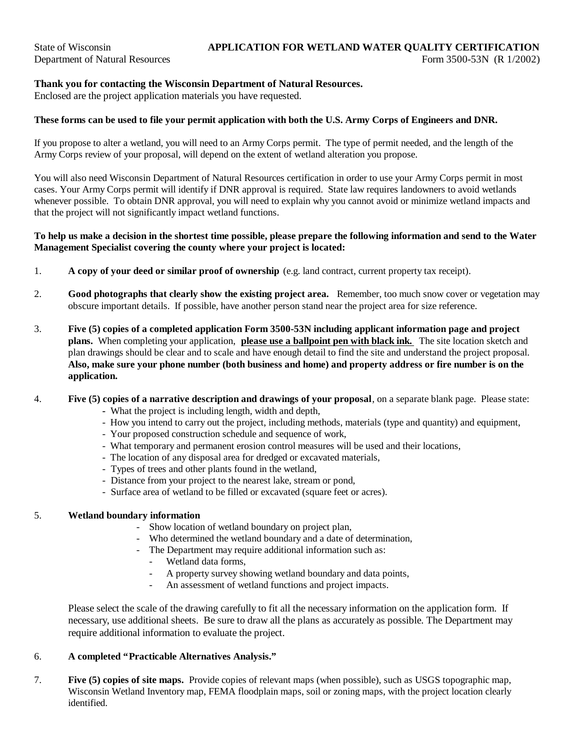### **Thank you for contacting the Wisconsin Department of Natural Resources.**

Enclosed are the project application materials you have requested.

#### **These forms can be used to file your permit application with both the U.S. Army Corps of Engineers and DNR.**

If you propose to alter a wetland, you will need to an Army Corps permit. The type of permit needed, and the length of the Army Corps review of your proposal, will depend on the extent of wetland alteration you propose.

You will also need Wisconsin Department of Natural Resources certification in order to use your Army Corps permit in most cases. Your Army Corps permit will identify if DNR approval is required. State law requires landowners to avoid wetlands whenever possible. To obtain DNR approval, you will need to explain why you cannot avoid or minimize wetland impacts and that the project will not significantly impact wetland functions.

#### **To help us make a decision in the shortest time possible, please prepare the following information and send to the Water Management Specialist covering the county where your project is located:**

- 1. **A copy of your deed or similar proof of ownership** (e.g. land contract, current property tax receipt).
- 2. **Good photographs that clearly show the existing project area.** Remember, too much snow cover or vegetation may obscure important details. If possible, have another person stand near the project area for size reference.
- 3. **Five (5) copies of a completed application Form 3500-53N including applicant information page and project plans.** When completing your application, **please use a ballpoint pen with black ink.** The site location sketch and plan drawings should be clear and to scale and have enough detail to find the site and understand the project proposal. **Also, make sure your phone number (both business and home) and property address or fire number is on the application.**
- 4. **Five (5) copies of a narrative description and drawings of your proposal**, on a separate blank page. Please state:
	- What the project is including length, width and depth,
	- How you intend to carry out the project, including methods, materials (type and quantity) and equipment,
	- Your proposed construction schedule and sequence of work,
	- What temporary and permanent erosion control measures will be used and their locations,
	- The location of any disposal area for dredged or excavated materials,
	- Types of trees and other plants found in the wetland,
	- Distance from your project to the nearest lake, stream or pond,
	- Surface area of wetland to be filled or excavated (square feet or acres).

#### 5. **Wetland boundary information**

- Show location of wetland boundary on project plan,
- Who determined the wetland boundary and a date of determination,
- The Department may require additional information such as:
	- Wetland data forms,
	- A property survey showing wetland boundary and data points,
	- An assessment of wetland functions and project impacts.

Please select the scale of the drawing carefully to fit all the necessary information on the application form. If necessary, use additional sheets. Be sure to draw all the plans as accurately as possible. The Department may require additional information to evaluate the project.

#### 6. **A completed "Practicable Alternatives Analysis."**

7. **Five (5) copies of site maps.** Provide copies of relevant maps (when possible), such as USGS topographic map, Wisconsin Wetland Inventory map, FEMA floodplain maps, soil or zoning maps, with the project location clearly identified.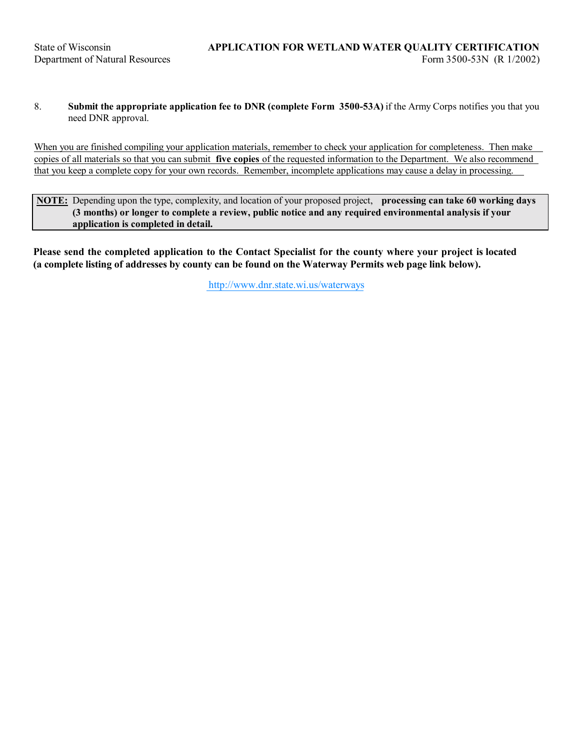8. **Submit the appropriate application fee to DNR (complete Form 3500-53A)** if the Army Corps notifies you that you need DNR approval.

When you are finished compiling your application materials, remember to check your application for completeness. Then make copies of all materials so that you can submit **five copies** of the requested information to the Department. We also recommend that you keep a complete copy for your own records. Remember, incomplete applications may cause a delay in processing.

**NOTE:** Depending upon the type, complexity, and location of your proposed project, **processing can take 60 working days (3 months) or longer to complete a review, public notice and any required environmental analysis if your application is completed in detail.**

**Please send the completed application to the Contact Specialist for the county where your project is located (a complete listing of addresses by county can be found on the Waterway Permits web page link below).**

[http://www.dnr.state.wi.us/waterways](http://dnr.wi.gov/waterways/)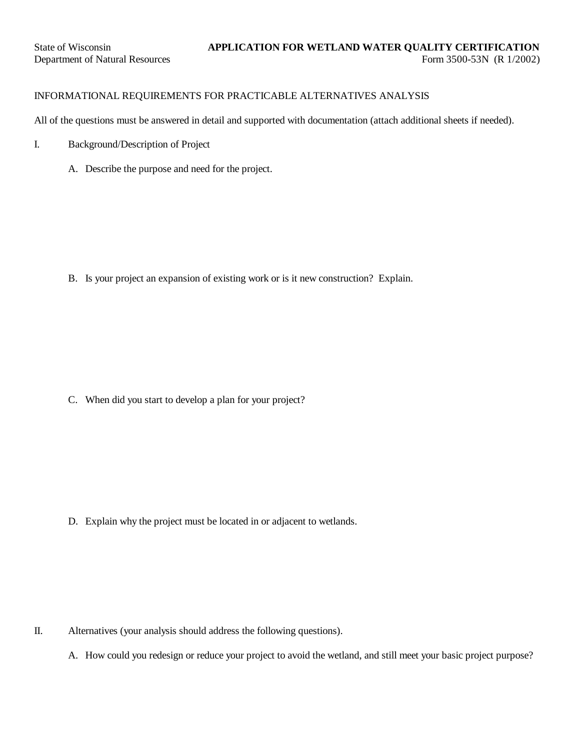### INFORMATIONAL REQUIREMENTS FOR PRACTICABLE ALTERNATIVES ANALYSIS

All of the questions must be answered in detail and supported with documentation (attach additional sheets if needed).

- I. Background/Description of Project
	- A. Describe the purpose and need for the project.

B. Is your project an expansion of existing work or is it new construction? Explain.

C. When did you start to develop a plan for your project?

D. Explain why the project must be located in or adjacent to wetlands.

- II. Alternatives (your analysis should address the following questions).
	- A. How could you redesign or reduce your project to avoid the wetland, and still meet your basic project purpose?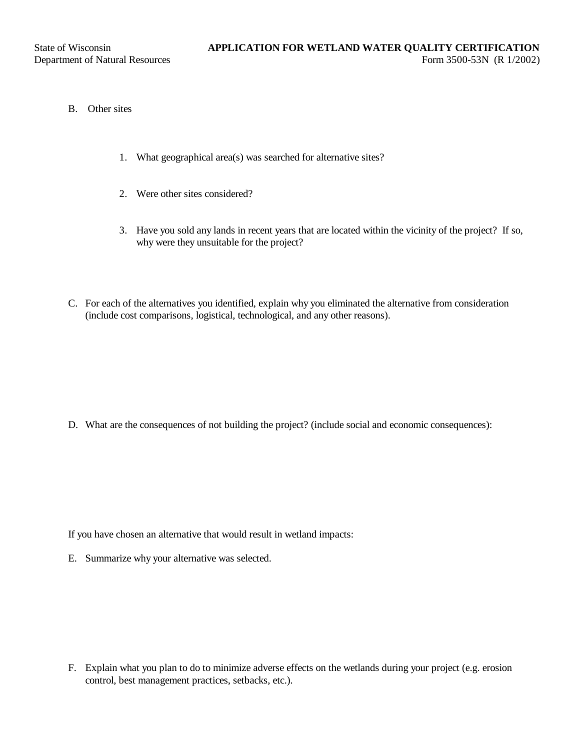- B. Other sites
	- 1. What geographical area(s) was searched for alternative sites?
	- 2. Were other sites considered?
	- 3. Have you sold any lands in recent years that are located within the vicinity of the project? If so, why were they unsuitable for the project?
- C. For each of the alternatives you identified, explain why you eliminated the alternative from consideration (include cost comparisons, logistical, technological, and any other reasons).

D. What are the consequences of not building the project? (include social and economic consequences):

If you have chosen an alternative that would result in wetland impacts:

E. Summarize why your alternative was selected.

F. Explain what you plan to do to minimize adverse effects on the wetlands during your project (e.g. erosion control, best management practices, setbacks, etc.).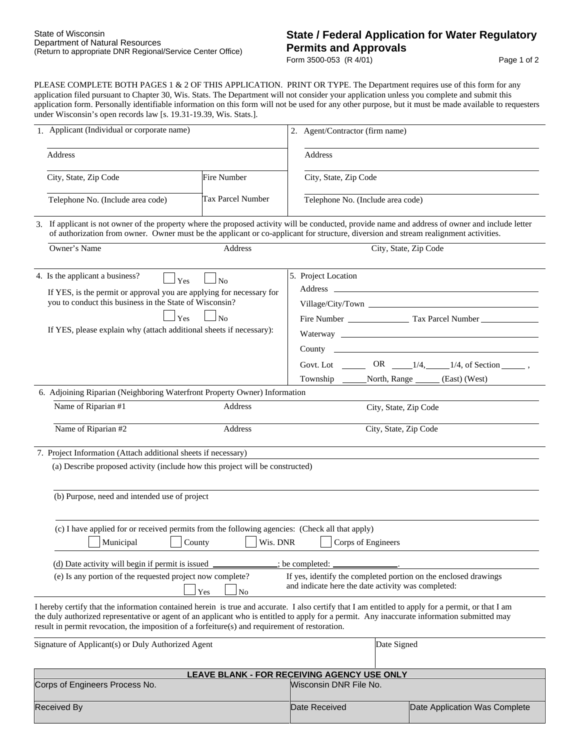# **State / Federal Application for Water Regulatory Permits and Approvals**

Form 3500-053 (R 4/01) 2020 2021 2022 2031 2040 2040 2051 2052 2052 2053 2054 2052 2053 2054 2055 2056 2057 20

PLEASE COMPLETE BOTH PAGES 1 & 2 OF THIS APPLICATION. PRINT OR TYPE. The Department requires use of this form for any application filed pursuant to Chapter 30, Wis. Stats. The Department will not consider your application unless you complete and submit this application form. Personally identifiable information on this form will not be used for any other purpose, but it must be made available to requesters under Wisconsin's open records law [s. 19.31-19.39, Wis. Stats.].

| 1. Applicant (Individual or corporate name)                                                                                                                                                                                                                                                                                                                                                         |                                             |                                                                                                                       | 2. Agent/Contractor (firm name)                                                                                                                                                                                                                                                          |                       |  |                                                                                                     |  |  |  |  |  |  |  |  |  |
|-----------------------------------------------------------------------------------------------------------------------------------------------------------------------------------------------------------------------------------------------------------------------------------------------------------------------------------------------------------------------------------------------------|---------------------------------------------|-----------------------------------------------------------------------------------------------------------------------|------------------------------------------------------------------------------------------------------------------------------------------------------------------------------------------------------------------------------------------------------------------------------------------|-----------------------|--|-----------------------------------------------------------------------------------------------------|--|--|--|--|--|--|--|--|--|
| Address                                                                                                                                                                                                                                                                                                                                                                                             |                                             |                                                                                                                       | <b>Address</b>                                                                                                                                                                                                                                                                           |                       |  |                                                                                                     |  |  |  |  |  |  |  |  |  |
| City, State, Zip Code                                                                                                                                                                                                                                                                                                                                                                               | Fire Number                                 |                                                                                                                       | City, State, Zip Code                                                                                                                                                                                                                                                                    |                       |  |                                                                                                     |  |  |  |  |  |  |  |  |  |
| Telephone No. (Include area code)                                                                                                                                                                                                                                                                                                                                                                   | Tax Parcel Number                           | Telephone No. (Include area code)                                                                                     |                                                                                                                                                                                                                                                                                          |                       |  |                                                                                                     |  |  |  |  |  |  |  |  |  |
|                                                                                                                                                                                                                                                                                                                                                                                                     |                                             |                                                                                                                       | 3. If applicant is not owner of the property where the proposed activity will be conducted, provide name and address of owner and include letter<br>of authorization from owner. Owner must be the applicant or co-applicant for structure, diversion and stream realignment activities. |                       |  |                                                                                                     |  |  |  |  |  |  |  |  |  |
| Owner's Name                                                                                                                                                                                                                                                                                                                                                                                        | Address                                     |                                                                                                                       | City, State, Zip Code                                                                                                                                                                                                                                                                    |                       |  |                                                                                                     |  |  |  |  |  |  |  |  |  |
| 4. Is the applicant a business?<br>$\Box$ Yes<br>If YES, is the permit or approval you are applying for necessary for<br>you to conduct this business in the State of Wisconsin?<br>Yes<br>If YES, please explain why (attach additional sheets if necessary):                                                                                                                                      | N <sub>0</sub><br><b>No</b>                 |                                                                                                                       | 5. Project Location<br>Township ________ North, Range _______ (East) (West)                                                                                                                                                                                                              |                       |  | $County$ $\qquad \qquad$<br>Govt. Lot ________ OR ______1/4, ___________1/4, of Section __________, |  |  |  |  |  |  |  |  |  |
| 6. Adjoining Riparian (Neighboring Waterfront Property Owner) Information                                                                                                                                                                                                                                                                                                                           |                                             |                                                                                                                       |                                                                                                                                                                                                                                                                                          |                       |  |                                                                                                     |  |  |  |  |  |  |  |  |  |
| Name of Riparian #1                                                                                                                                                                                                                                                                                                                                                                                 | Address                                     |                                                                                                                       |                                                                                                                                                                                                                                                                                          | City, State, Zip Code |  |                                                                                                     |  |  |  |  |  |  |  |  |  |
| Name of Riparian #2                                                                                                                                                                                                                                                                                                                                                                                 | <b>Address</b>                              |                                                                                                                       |                                                                                                                                                                                                                                                                                          | City, State, Zip Code |  |                                                                                                     |  |  |  |  |  |  |  |  |  |
| 7. Project Information (Attach additional sheets if necessary)                                                                                                                                                                                                                                                                                                                                      |                                             |                                                                                                                       |                                                                                                                                                                                                                                                                                          |                       |  |                                                                                                     |  |  |  |  |  |  |  |  |  |
| (a) Describe proposed activity (include how this project will be constructed)                                                                                                                                                                                                                                                                                                                       |                                             |                                                                                                                       |                                                                                                                                                                                                                                                                                          |                       |  |                                                                                                     |  |  |  |  |  |  |  |  |  |
| (b) Purpose, need and intended use of project                                                                                                                                                                                                                                                                                                                                                       |                                             |                                                                                                                       |                                                                                                                                                                                                                                                                                          |                       |  |                                                                                                     |  |  |  |  |  |  |  |  |  |
| (c) I have applied for or received permits from the following agencies: (Check all that apply)<br>Municipal<br>County                                                                                                                                                                                                                                                                               | Wis. DNR                                    |                                                                                                                       | Corps of Engineers                                                                                                                                                                                                                                                                       |                       |  |                                                                                                     |  |  |  |  |  |  |  |  |  |
| (d) Date activity will begin if permit is issued                                                                                                                                                                                                                                                                                                                                                    |                                             |                                                                                                                       | ; be completed:                                                                                                                                                                                                                                                                          |                       |  |                                                                                                     |  |  |  |  |  |  |  |  |  |
| (e) Is any portion of the requested project now complete?                                                                                                                                                                                                                                                                                                                                           | Yes<br>No                                   | If yes, identify the completed portion on the enclosed drawings<br>and indicate here the date activity was completed: |                                                                                                                                                                                                                                                                                          |                       |  |                                                                                                     |  |  |  |  |  |  |  |  |  |
| I hereby certify that the information contained herein is true and accurate. I also certify that I am entitled to apply for a permit, or that I am<br>the duly authorized representative or agent of an applicant who is entitled to apply for a permit. Any inaccurate information submitted may<br>result in permit revocation, the imposition of a forfeiture(s) and requirement of restoration. |                                             |                                                                                                                       |                                                                                                                                                                                                                                                                                          |                       |  |                                                                                                     |  |  |  |  |  |  |  |  |  |
| Signature of Applicant(s) or Duly Authorized Agent                                                                                                                                                                                                                                                                                                                                                  |                                             |                                                                                                                       |                                                                                                                                                                                                                                                                                          | Date Signed           |  |                                                                                                     |  |  |  |  |  |  |  |  |  |
|                                                                                                                                                                                                                                                                                                                                                                                                     | LEAVE BLANK - FOR RECEIVING AGENCY USE ONLY |                                                                                                                       |                                                                                                                                                                                                                                                                                          |                       |  |                                                                                                     |  |  |  |  |  |  |  |  |  |
| Corps of Engineers Process No.                                                                                                                                                                                                                                                                                                                                                                      |                                             |                                                                                                                       | Wisconsin DNR File No.                                                                                                                                                                                                                                                                   |                       |  |                                                                                                     |  |  |  |  |  |  |  |  |  |
| <b>Received By</b>                                                                                                                                                                                                                                                                                                                                                                                  |                                             |                                                                                                                       | Date Received                                                                                                                                                                                                                                                                            |                       |  | Date Application Was Complete                                                                       |  |  |  |  |  |  |  |  |  |